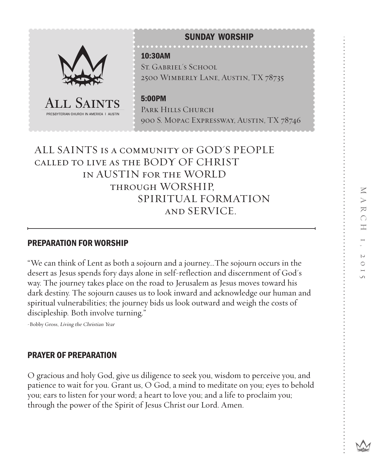

# ALL SAINTS is a community of GOD'S PEOPLE called to live as the BODY OF CHRIST in AUSTIN for the WORLD through WORSHIP, SPIRITUAL FORMATION and SERVICE.

## PREPARATION FOR WORSHIP

"We can think of Lent as both a sojourn and a journey...The sojourn occurs in the desert as Jesus spends fory days alone in self-reflection and discernment of God's way. The journey takes place on the road to Jerusalem as Jesus moves toward his dark destiny. The sojourn causes us to look inward and acknowledge our human and spiritual vulnerabilities; the journey bids us look outward and weigh the costs of discipleship. Both involve turning."

-Bobby Gross, Living the Christian Year

## PRAYER OF PREPARATION

O gracious and holy God, give us diligence to seek you, wisdom to perceive you, and patience to wait for you. Grant us, O God, a mind to meditate on you; eyes to behold you; ears to listen for your word; a heart to love you; and a life to proclaim you; through the power of the Spirit of Jesus Christ our Lord. Amen.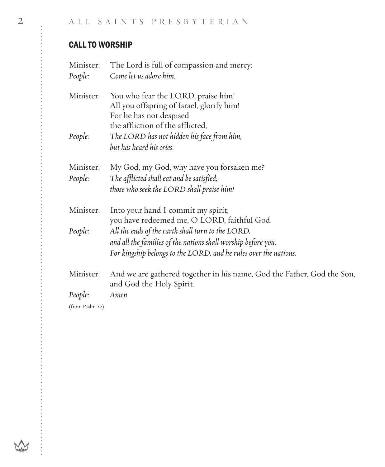# CALL TO WORSHIP

| Minister:<br>People: | The Lord is full of compassion and mercy:<br>Come let us adore him.                                                                                                                    |
|----------------------|----------------------------------------------------------------------------------------------------------------------------------------------------------------------------------------|
| Minister:            | You who fear the LORD, praise him!<br>All you offspring of Israel, glorify him!<br>For he has not despised<br>the affliction of the afflicted,                                         |
| People:              | The LORD has not hidden his face from him,<br>but has heard his cries.                                                                                                                 |
| Minister:<br>People: | My God, my God, why have you forsaken me?<br>The afflicted shall eat and be satisfied;<br>those who seek the LORD shall praise him!                                                    |
| Minister:            | Into your hand I commit my spirit;<br>you have redeemed me, O LORD, faithful God.                                                                                                      |
| People:              | All the ends of the earth shall turn to the LORD,<br>and all the families of the nations shall worship before you.<br>For kingship belongs to the LORD, and he rules over the nations. |
| Minister:<br>People: | And we are gathered together in his name, God the Father, God the Son,<br>and God the Holy Spirit.<br>Amen.                                                                            |
|                      |                                                                                                                                                                                        |

(from Psalm 22)

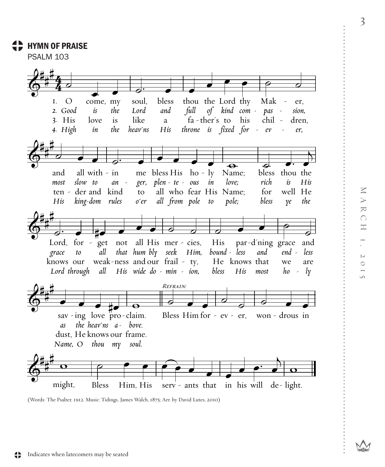## **HYMN OF PRAISE**

**PSALM 103** 



<sup>(</sup>Words: The Psalter, 1912. Music: Tidings, James Walch, 1875; Arr. by David Lutes, 2010)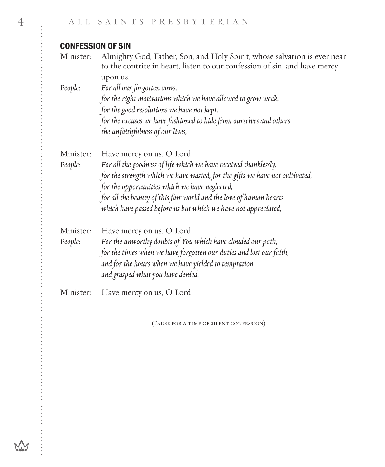# CONFESSION OF SIN

| Minister: | Almighty God, Father, Son, and Holy Spirit, whose salvation is ever near<br>to the contrite in heart, listen to our confession of sin, and have mercy |
|-----------|-------------------------------------------------------------------------------------------------------------------------------------------------------|
|           | upon us.                                                                                                                                              |
| People:   | For all our forgotten vows,                                                                                                                           |
|           | for the right motivations which we have allowed to grow weak,                                                                                         |
|           | for the good resolutions we have not kept,                                                                                                            |
|           | for the excuses we have fashioned to hide from ourselves and others                                                                                   |
|           | the unfaithfulness of our lives,                                                                                                                      |
| Minister: | Have mercy on us, O Lord.                                                                                                                             |
| People:   | For all the goodness of life which we have received thanklessly,                                                                                      |
|           | for the strength which we have wasted, for the gifts we have not cultivated,                                                                          |
|           | for the opportunities which we have neglected,                                                                                                        |
|           | for all the beauty of this fair world and the love of human hearts                                                                                    |
|           | which have passed before us but which we have not appreciated,                                                                                        |
| Minister: | Have mercy on us, O Lord.                                                                                                                             |
| People:   | For the unworthy doubts of You which have clouded our path,                                                                                           |
|           | for the times when we have forgotten our duties and lost our faith,                                                                                   |
|           | and for the hours when we have yielded to temptation                                                                                                  |
|           | and grasped what you have denied.                                                                                                                     |
| Minister: | Have mercy on us, O Lord.                                                                                                                             |
|           |                                                                                                                                                       |

(Pause for a time of silent confession)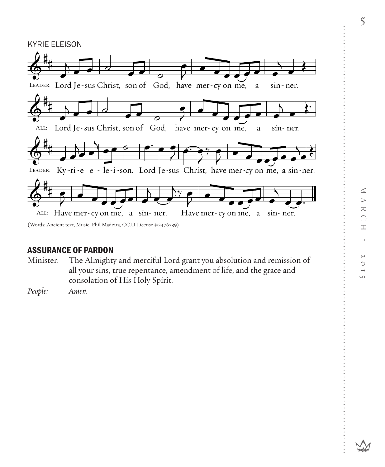

## ASSURANCE OF PARDON

Minister: The Almighty and merciful Lord grant you absolution and remission of all your sins, true repentance, amendment of life, and the grace and consolation of His Holy Spirit.

*People: Amen.*

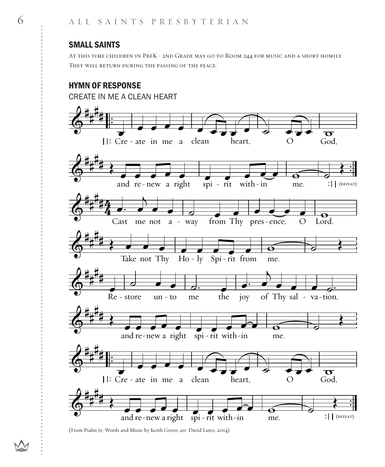### SMALL SAINTS

At this time children in PreK - 2nd Grade may go to Room 244 for music and a short homily. They will return during the passing of the peace.

## HYMN OF RESPONSE



(From Psalm 51; Words and Music by Keith Green, arr. David Lutes, 2014)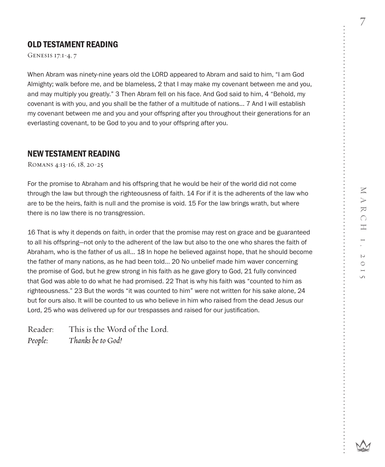7 7

## OLD TESTAMENT READING

Genesis 17:1-4, 7

When Abram was ninety-nine years old the LORD appeared to Abram and said to him, "I am God Almighty; walk before me, and be blameless, 2 that I may make my covenant between me and you, and may multiply you greatly." 3 Then Abram fell on his face. And God said to him, 4 "Behold, my covenant is with you, and you shall be the father of a multitude of nations... 7 And I will establish my covenant between me and you and your offspring after you throughout their generations for an everlasting covenant, to be God to you and to your offspring after you.

#### NEW TESTAMENT READING

Romans 4:13-16, 18, 20-25

For the promise to Abraham and his offspring that he would be heir of the world did not come through the law but through the righteousness of faith. 14 For if it is the adherents of the law who are to be the heirs, faith is null and the promise is void. 15 For the law brings wrath, but where there is no law there is no transgression.

16 That is why it depends on faith, in order that the promise may rest on grace and be guaranteed to all his offspring—not only to the adherent of the law but also to the one who shares the faith of Abraham, who is the father of us all... 18 In hope he believed against hope, that he should become the father of many nations, as he had been told... 20 No unbelief made him waver concerning the promise of God, but he grew strong in his faith as he gave glory to God, 21 fully convinced that God was able to do what he had promised. 22 That is why his faith was "counted to him as righteousness." 23 But the words "it was counted to him" were not written for his sake alone, 24 but for ours also. It will be counted to us who believe in him who raised from the dead Jesus our Lord, 25 who was delivered up for our trespasses and raised for our justification.

Reader: This is the Word of the Lord. *People: Thanks be to God!*

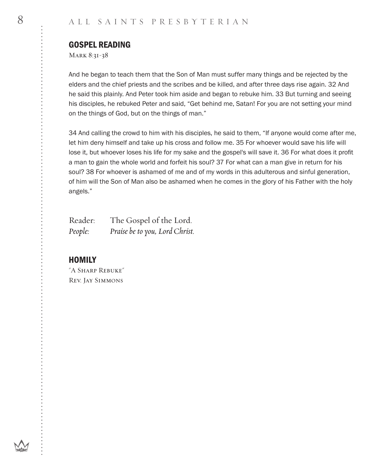#### GOSPEL READING

Mark 8:31-38

And he began to teach them that the Son of Man must suffer many things and be rejected by the elders and the chief priests and the scribes and be killed, and after three days rise again. 32 And he said this plainly. And Peter took him aside and began to rebuke him. 33 But turning and seeing his disciples, he rebuked Peter and said, "Get behind me, Satan! For you are not setting your mind on the things of God, but on the things of man."

34 And calling the crowd to him with his disciples, he said to them, "If anyone would come after me, let him deny himself and take up his cross and follow me. 35 For whoever would save his life will lose it, but whoever loses his life for my sake and the gospel's will save it. 36 For what does it profit a man to gain the whole world and forfeit his soul? 37 For what can a man give in return for his soul? 38 For whoever is ashamed of me and of my words in this adulterous and sinful generation, of him will the Son of Man also be ashamed when he comes in the glory of his Father with the holy angels."

| Reader: | The Gospel of the Lord.        |
|---------|--------------------------------|
| People: | Praise be to you, Lord Christ. |

#### **HOMILY**

"A Sharp Rebuke" Rev. Jay Simmons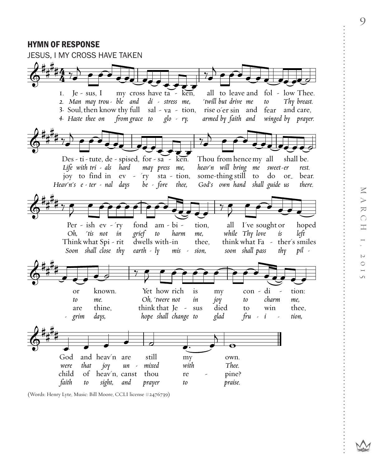### HYMN OF RESPONSE



(Words: Henry Lyte, Music: Bill Moore, CCLI license #2476739)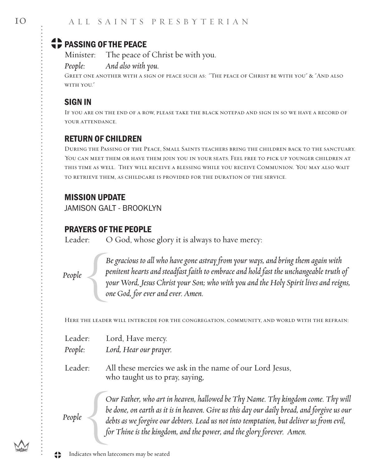# **CD** PASSING OF THE PEACE

Minister: The peace of Christ be with you.

*People: And also with you.*

Greet one another with a sign of peace such as: "The peace of Christ be with you" & "And also with you."

# SIGN IN

If you are on the end of a row, please take the black notepad and sign in so we have a record of YOUR ATTENDANCE.

# RETURN OF CHILDREN

During the Passing of the Peace, Small Saints teachers bring the children back to the sanctuary. You can meet them or have them join you in your seats. Feel free to pick up younger children at this time as well. They will receive a blessing while you receive Communion. You may also wait to retrieve them, as childcare is provided for the duration of the service.

# MISSION UPDATE

JAMISON GALT - BROOKLYN

# PRAYERS OF THE PEOPLE

Leader: O God, whose glory it is always to have mercy:

*People*

*Be gracious to all who have gone astray from your ways, and bring them again with penitent hearts and steadfast faith to embrace and hold fast the unchangeable truth of your Word, Jesus Christ your Son; who with you and the Holy Spirit lives and reigns, one God, for ever and ever. Amen.*

Here the leader will intercede for the congregation, community, and world with the refrain:

Leader: Lord, Have mercy.

*People: Lord, Hear our prayer.*

Leader: All these mercies we ask in the name of our Lord Jesus, who taught us to pray, saying,

> *Our Father, who art in heaven, hallowed be Thy Name. Thy kingdom come. Thy will be done, on earth as it is in heaven. Give us this day our daily bread, and forgive us our debts as we forgive our debtors. Lead us not into temptation, but deliver us from evil, for Thine is the kingdom, and the power, and the glory forever. Amen.*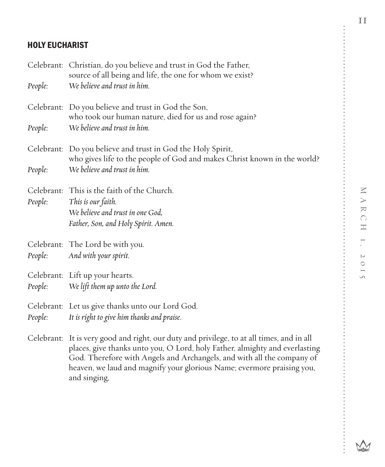# HOLY EUCHARIST

| People: | Celebrant: Christian, do you believe and trust in God the Father,<br>source of all being and life, the one for whom we exist?<br>We believe and trust in him.                                                                                                                                                                                |
|---------|----------------------------------------------------------------------------------------------------------------------------------------------------------------------------------------------------------------------------------------------------------------------------------------------------------------------------------------------|
|         | Celebrant: Do you believe and trust in God the Son,<br>who took our human nature, died for us and rose again?                                                                                                                                                                                                                                |
| People: | We believe and trust in him.                                                                                                                                                                                                                                                                                                                 |
|         | Celebrant: Do you believe and trust in God the Holy Spirit,<br>who gives life to the people of God and makes Christ known in the world?                                                                                                                                                                                                      |
| People: | We believe and trust in him.                                                                                                                                                                                                                                                                                                                 |
| People: | Celebrant: This is the faith of the Church.<br>This is our faith.<br>We believe and trust in one God,<br>Father, Son, and Holy Spirit. Amen.                                                                                                                                                                                                 |
| People: | Celebrant: The Lord be with you.<br>And with your spirit.                                                                                                                                                                                                                                                                                    |
| People: | Celebrant: Lift up your hearts.<br>We lift them up unto the Lord.                                                                                                                                                                                                                                                                            |
| People: | Celebrant: Let us give thanks unto our Lord God.<br>It is right to give him thanks and praise.                                                                                                                                                                                                                                               |
|         | Celebrant: It is very good and right, our duty and privilege, to at all times, and in all<br>places, give thanks unto you, O Lord, holy Father, almighty and everlasting<br>God. Therefore with Angels and Archangels, and with all the company of<br>heaven, we laud and magnify your glorious Name; evermore praising you,<br>and singing, |

. . . . . . . . . . . . . . .

. . . . . .

........

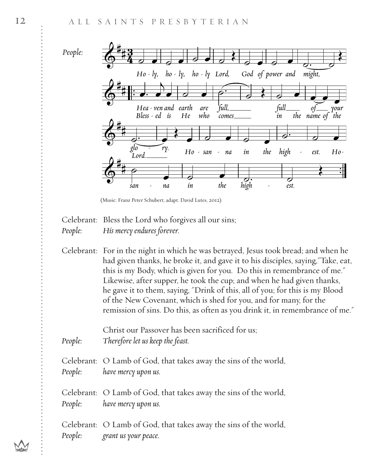

 <sup>(</sup>Music: Franz Peter Schubert, adapt. David Lutes, 2012)

Celebrant: Bless the Lord who forgives all our sins; *People: His mercy endures forever.*

Celebrant: For in the night in which he was betrayed, Jesus took bread; and when he had given thanks, he broke it, and gave it to his disciples, saying,"Take, eat, this is my Body, which is given for you. Do this in remembrance of me." Likewise, after supper, he took the cup; and when he had given thanks, he gave it to them, saying, "Drink of this, all of you; for this is my Blood of the New Covenant, which is shed for you, and for many, for the remission of sins. Do this, as often as you drink it, in remembrance of me."

Christ our Passover has been sacrificed for us; *People: Therefore let us keep the feast.*

Celebrant: O Lamb of God, that takes away the sins of the world, *People: have mercy upon us.*

Celebrant: O Lamb of God, that takes away the sins of the world, *People: have mercy upon us.*

Celebrant: O Lamb of God, that takes away the sins of the world, *People: grant us your peace.*

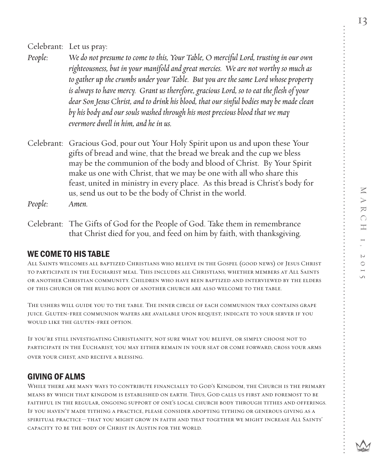MARCH 1, 2015

 $\sim$ 

13

Celebrant: Let us pray:

- *People: We do not presume to come to this, Your Table, O merciful Lord, trusting in our own righteousness, but in your manifoldand great mercies. We are not worthy so much as to gather up the crumbs under your Table. But you are the same Lord whose property is always to have mercy. Grant us therefore, gracious Lord, so to eat the flesh of your dear Son Jesus Christ,and to drink his blood, that our sinful bodies may be made clean by his body and our souls washed through his most precious blood that we may evermore dwell in him,and he in us.*
- Celebrant: Gracious God, pour out Your Holy Spirit upon us and upon these Your gifts of bread and wine, that the bread we break and the cup we bless may be the communion of the body and blood of Christ. By Your Spirit make us one with Christ, that we may be one with all who share this feast, united in ministry in every place. As this bread is Christ's body for us, send us out to be the body of Christ in the world.

*People: Amen.*

Celebrant: The Gifts of God for the People of God. Take them in remembrance that Christ died for you, and feed on him by faith, with thanksgiving.

# WE COME TO HIS TABLE

All Saints welcomes all baptized Christians who believe in the Gospel (good news) of Jesus Christ to participate in the Eucharist meal. This includes all Christians, whether members at All Saints or another Christian community. Children who have been baptized and interviewed by the elders of this church or the ruling body of another church are also welcome to the table.

The ushers will guide you to the table. The inner circle of each communion tray contains grape juice. Gluten-free communion wafers are available upon request; indicate to your server if you would like the gluten-free option.

If you're still investigating Christianity, not sure what you believe, or simply choose not to participate in the Eucharist, you may either remain in your seat or come forward, cross your arms over your chest, and receive a blessing.

# GIVING OF ALMS

WHILE THERE ARE MANY WAYS TO CONTRIBUTE FINANCIALLY TO GOD'S KINGDOM. THE CHURCH IS THE PRIMARY means by which that kingdom is established on earth. Thus, God calls us first and foremost to be faithful in the regular, ongoing support of one's local church body through tithes and offerings. If you haven't made tithing a practice, please consider adopting tithing or generous giving as a spiritual practice—that you might grow in faith and that together we might increase All Saints' capacity to be the body of Christ in Austin for the world.

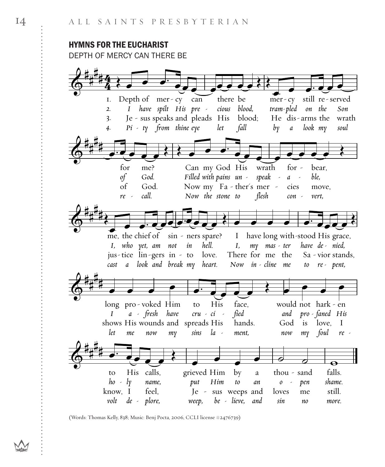### **HYMNS FOR THE EUCHARIST** DEPTH OF MERCY CAN THERE BE



<sup>(</sup>Words: Thomas Kelly, 838; Music: Benj Pocta, 2006, CCLI license #2476739)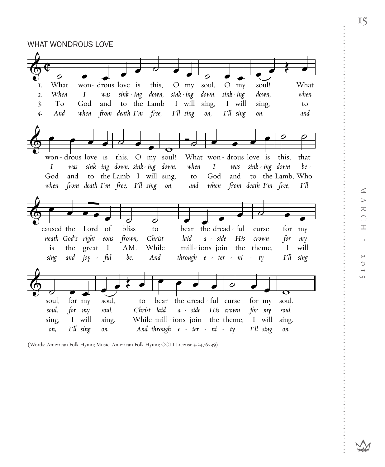WHAT WONDROUS LOVE



(Words: American Folk Hymn; Music: American Folk Hymn; CCLI License #2476739)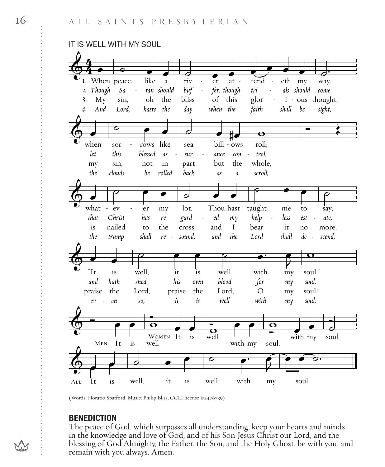

<sup>(</sup>Words: Horatio Spafford, Music: Philip Bliss, CCLI license #2476739)

#### **BENEDICTION**

The peace of God, which surpasses all understanding, keep your hearts and minds in the knowledge and love of God, and of his Son Jesus Christ our Lord; and the blessing of God Almighty, the Father, the Son, and the Holy Ghost, be with you, and remain with you always. Amen.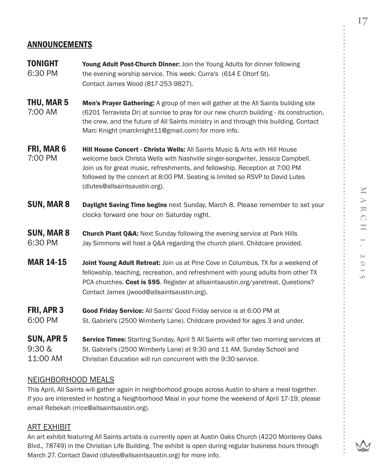### ANNOUNCEMENTS

- **TONIGHT** Young Adult Post-Church Dinner: Join the Young Adults for dinner following 6:30 PM the evening worship service. This week: Curra's (614 E Oltorf St). Contact James Wood (817-253-9827).
- **THU, MAR 5** Men's Prayer Gathering: A group of men will gather at the All Saints building site 7:00 AM (6201 Terravista Dr) at sunrise to pray for our new church building - its construction, the crew, and the future of All Saints ministry in and through this building. Contact Marc Knight (marcknight11@gmail.com) for more info.
- **FRI, MAR 6** Hill House Concert Christa Wells: All Saints Music & Arts with Hill House 7:00 PM welcome back Christa Wells with Nashville singer-songwriter, Jessica Campbell. Join us for great music, refreshments, and fellowship. Reception at 7:00 PM followed by the concert at 8:00 PM. Seating is limited so RSVP to David Lutes (dlutes@allsaintsaustin.org).
- **SUN, MAR 8** Daylight Saving Time begins next Sunday, March 8. Please remember to set your clocks forward one hour on Saturday night.
- **SUN, MAR 8** Church Plant Q&A: Next Sunday following the evening service at Park Hills 6:30 PM Jay Simmons will host a Q&A regarding the church plant. Childcare provided.
- MAR 14-15 Joint Young Adult Retreat: Join us at Pine Cove in Columbus, TX for a weekend of fellowship, teaching, recreation, and refreshment with young adults from other TX PCA churches. Cost is \$95. Register at allsaintsaustin.org/yaretreat. Questions? Contact James (jwood@allsaintsaustin.org).
- FRI, APR 3 Good Friday Service: All Saints' Good Friday service is at 6:00 PM at 6:00 PM St. Gabriel's (2500 Wimberly Lane). Childcare provided for ages 3 and under.
- **SUN, APR 5** Service Times: Starting Sunday, April 5 All Saints will offer two morning services at 9:30 & St. Gabriel's (2500 Wimberly Lane) at 9:30 and 11 AM. Sunday School and 11:00 AM Christian Education will run concurrent with the 9:30 service.

#### NEIGHBORHOOD MEALS

This April, All Saints will gather again in neighborhood groups across Austin to share a meal together. If you are interested in hosting a Neighborhood Meal in your home the weekend of April 17-19, please email Rebekah (rrice@allsaintsaustin.org).

#### ART EXHIBIT

An art exhibit featuring All Saints artists is currently open at Austin Oaks Church (4220 Monterey Oaks Blvd., 78749) in the Christian Life Building. The exhibit is open during regular business hours through March 27. Contact David (dlutes@allsaintsaustin.org) for more info.

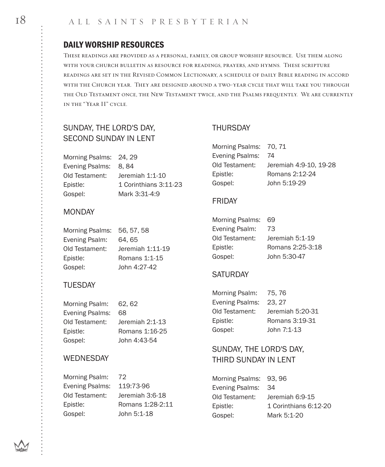## DAILY WORSHIP RESOURCES

These readings are provided as a personal, family, or group worship resource. Use them along with your church bulletin as resource for readings, prayers, and hymns. These scripture readings are set in the Revised Common Lectionary, a schedule of daily Bible reading in accord with the Church year. They are designed around a two-year cycle that will take you through the Old Testament once, the New Testament twice, and the Psalms frequently. We are currently in the "Year II" cycle.

## SUNDAY, THE LORD'S DAY, SECOND SUNDAY IN LENT

Morning Psalms: 24, 29 Evening Psalms: 8, 84 Old Testament: Jeremiah 1:1-10 Epistle: 1 Corinthians 3:11-23 Gospel: Mark 3:31-4:9

#### MONDAY

| Morning Psalms: | 56, 57, 58       |
|-----------------|------------------|
| Evening Psalm:  | 64.65            |
| Old Testament:  | Jeremiah 1:11-19 |
| Epistle:        | Romans 1:1-15    |
| Gospel:         | John 4:27-42     |

### TUESDAY

| Morning Psalm:         | 62.62           |
|------------------------|-----------------|
| <b>Evening Psalms:</b> | 68              |
| Old Testament:         | Jeremiah 2:1-13 |
| Epistle:               | Romans 1:16-25  |
| Gospel:                | John 4:43-54    |

### WEDNESDAY

| Morning Psalm: 72         |                  | Morning Psalms: 93, 96 |                       |
|---------------------------|------------------|------------------------|-----------------------|
| Evening Psalms: 119:73-96 |                  | Evening Psalms: 34     |                       |
| Old Testament:            | Jeremiah 3:6-18  | Old Testament:         | Jeremiah 6:9-15       |
| Epistle:                  | Romans 1:28-2:11 | Epistle:               | 1 Corinthians 6:12-20 |
| Gospel:                   | John 5:1-18      | Gospel:                | Mark 5:1-20           |

### THURSDAY

| Morning Psalms: 70, 71 |                        |
|------------------------|------------------------|
| Evening Psalms:        | 74                     |
| Old Testament:         | Jeremiah 4:9-10, 19-28 |
| Epistle:               | Romans 2:12-24         |
| Gospel:                | John 5:19-29           |

#### FRIDAY

| <b>Morning Psalms:</b> | 69               |
|------------------------|------------------|
| Evening Psalm:         | 73               |
| Old Testament:         | Jeremiah 5:1-19  |
| Epistle:               | Romans 2:25-3:18 |
| Gospel:                | John 5:30-47     |

### **SATURDAY**

| Morning Psalm:  | 75.76            |
|-----------------|------------------|
| Evening Psalms: | 23.27            |
| Old Testament:  | Jeremiah 5:20-31 |
| Epistle:        | Romans 3:19-31   |
| Gospel:         | John 7:1-13      |

## SUNDAY, THE LORD'S DAY, THIRD SUNDAY IN LENT